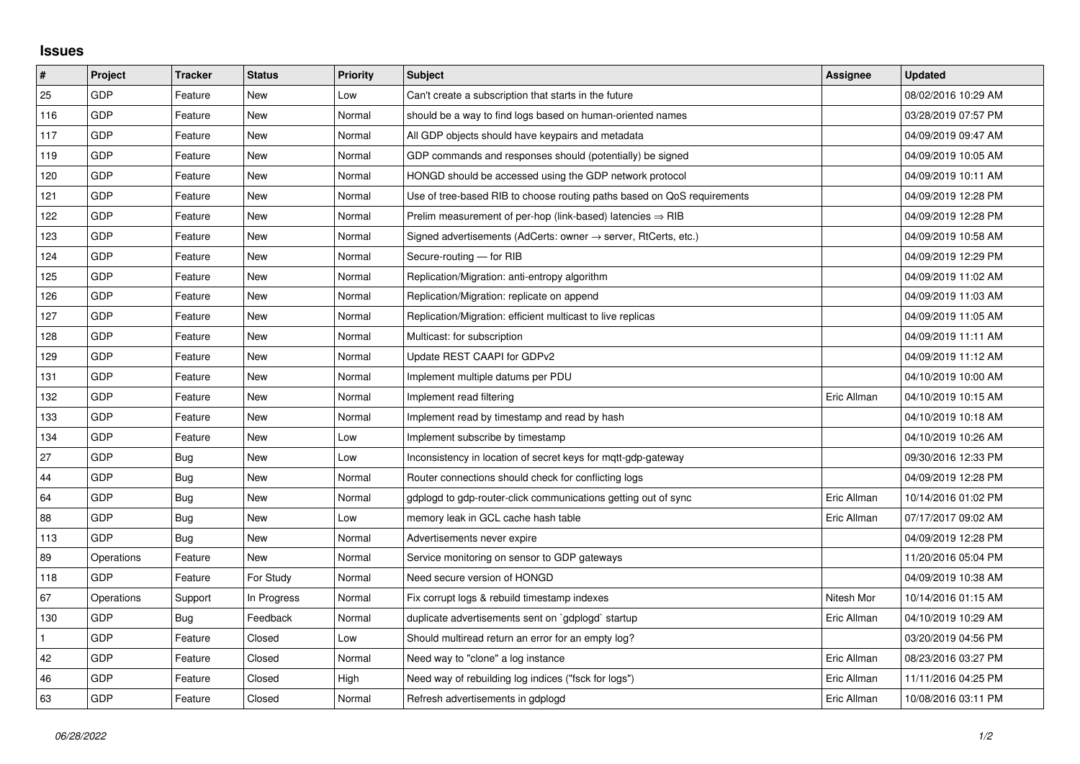## **Issues**

| #   | Project    | <b>Tracker</b> | <b>Status</b> | <b>Priority</b> | <b>Subject</b>                                                             | Assignee    | <b>Updated</b>      |
|-----|------------|----------------|---------------|-----------------|----------------------------------------------------------------------------|-------------|---------------------|
| 25  | GDP        | Feature        | <b>New</b>    | Low             | Can't create a subscription that starts in the future                      |             | 08/02/2016 10:29 AM |
| 116 | GDP        | Feature        | New           | Normal          | should be a way to find logs based on human-oriented names                 |             | 03/28/2019 07:57 PM |
| 117 | <b>GDP</b> | Feature        | New           | Normal          | All GDP objects should have keypairs and metadata                          |             | 04/09/2019 09:47 AM |
| 119 | GDP        | Feature        | <b>New</b>    | Normal          | GDP commands and responses should (potentially) be signed                  |             | 04/09/2019 10:05 AM |
| 120 | GDP        | Feature        | New           | Normal          | HONGD should be accessed using the GDP network protocol                    |             | 04/09/2019 10:11 AM |
| 121 | GDP        | Feature        | New           | Normal          | Use of tree-based RIB to choose routing paths based on QoS requirements    |             | 04/09/2019 12:28 PM |
| 122 | GDP        | Feature        | <b>New</b>    | Normal          | Prelim measurement of per-hop (link-based) latencies $\Rightarrow$ RIB     |             | 04/09/2019 12:28 PM |
| 123 | GDP        | Feature        | New           | Normal          | Signed advertisements (AdCerts: owner $\rightarrow$ server, RtCerts, etc.) |             | 04/09/2019 10:58 AM |
| 124 | GDP        | Feature        | <b>New</b>    | Normal          | Secure-routing - for RIB                                                   |             | 04/09/2019 12:29 PM |
| 125 | GDP        | Feature        | New           | Normal          | Replication/Migration: anti-entropy algorithm                              |             | 04/09/2019 11:02 AM |
| 126 | GDP        | Feature        | New           | Normal          | Replication/Migration: replicate on append                                 |             | 04/09/2019 11:03 AM |
| 127 | GDP        | Feature        | New           | Normal          | Replication/Migration: efficient multicast to live replicas                |             | 04/09/2019 11:05 AM |
| 128 | GDP        | Feature        | New           | Normal          | Multicast: for subscription                                                |             | 04/09/2019 11:11 AM |
| 129 | GDP        | Feature        | New           | Normal          | Update REST CAAPI for GDPv2                                                |             | 04/09/2019 11:12 AM |
| 131 | GDP        | Feature        | <b>New</b>    | Normal          | Implement multiple datums per PDU                                          |             | 04/10/2019 10:00 AM |
| 132 | GDP        | Feature        | New           | Normal          | Implement read filtering                                                   | Eric Allman | 04/10/2019 10:15 AM |
| 133 | GDP        | Feature        | New           | Normal          | Implement read by timestamp and read by hash                               |             | 04/10/2019 10:18 AM |
| 134 | GDP        | Feature        | New           | Low             | Implement subscribe by timestamp                                           |             | 04/10/2019 10:26 AM |
| 27  | GDP        | <b>Bug</b>     | New           | Low             | Inconsistency in location of secret keys for mgtt-gdp-gateway              |             | 09/30/2016 12:33 PM |
| 44  | GDP        | Bug            | New           | Normal          | Router connections should check for conflicting logs                       |             | 04/09/2019 12:28 PM |
| 64  | GDP        | Bug            | New           | Normal          | gdplogd to gdp-router-click communications getting out of sync             | Eric Allman | 10/14/2016 01:02 PM |
| 88  | GDP        | Bug            | New           | Low             | memory leak in GCL cache hash table                                        | Eric Allman | 07/17/2017 09:02 AM |
| 113 | GDP        | Bug            | <b>New</b>    | Normal          | Advertisements never expire                                                |             | 04/09/2019 12:28 PM |
| 89  | Operations | Feature        | New           | Normal          | Service monitoring on sensor to GDP gateways                               |             | 11/20/2016 05:04 PM |
| 118 | GDP        | Feature        | For Study     | Normal          | Need secure version of HONGD                                               |             | 04/09/2019 10:38 AM |
| 67  | Operations | Support        | In Progress   | Normal          | Fix corrupt logs & rebuild timestamp indexes                               | Nitesh Mor  | 10/14/2016 01:15 AM |
| 130 | GDP        | Bug            | Feedback      | Normal          | duplicate advertisements sent on `gdplogd` startup                         | Eric Allman | 04/10/2019 10:29 AM |
|     | GDP        | Feature        | Closed        | Low             | Should multiread return an error for an empty log?                         |             | 03/20/2019 04:56 PM |
| 42  | GDP        | Feature        | Closed        | Normal          | Need way to "clone" a log instance                                         | Eric Allman | 08/23/2016 03:27 PM |
| 46  | GDP        | Feature        | Closed        | High            | Need way of rebuilding log indices ("fsck for logs")                       | Eric Allman | 11/11/2016 04:25 PM |
| 63  | GDP        | Feature        | Closed        | Normal          | Refresh advertisements in gdplogd                                          | Eric Allman | 10/08/2016 03:11 PM |